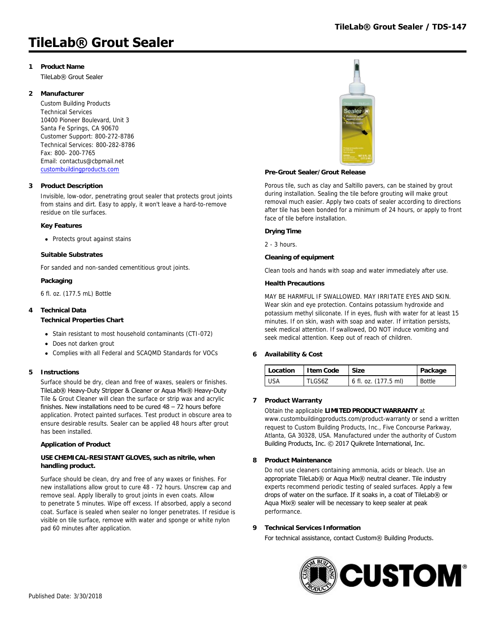# **TileLab® Grout Sealer**

# **1 Product Name**

TileLab® Grout Sealer

### **2 Manufacturer**

Custom Building Products Technical Services 10400 Pioneer Boulevard, Unit 3 Santa Fe Springs, CA 90670 Customer Support: 800-272-8786 Technical Services: 800-282-8786 Fax: 800- 200-7765 Email: contactus@cbpmail.net [custombuildingproducts.com](http://www.custombuildingproducts.com)

#### **3 Product Description**

Invisible, low-odor, penetrating grout sealer that protects grout joints from stains and dirt. Easy to apply, it won't leave a hard-to-remove residue on tile surfaces.

#### **Key Features**

• Protects grout against stains

#### **Suitable Substrates**

For sanded and non-sanded cementitious grout joints.

#### **Packaging**

6 fl. oz. (177.5 mL) Bottle

### **4 Technical Data**

#### **Technical Properties Chart**

- Stain resistant to most household contaminants (CTI-072)
- Does not darken grout
- Complies with all Federal and SCAQMD Standards for VOCs

#### **5 Instructions**

Surface should be dry, clean and free of waxes, sealers or finishes. TileLab® Heavy-Duty Stripper & Cleaner or Aqua Mix® Heavy-Duty Tile & Grout Cleaner will clean the surface or strip wax and acrylic finishes. New installations need to be cured  $48 - 72$  hours before application. Protect painted surfaces. Test product in obscure area to ensure desirable results. Sealer can be applied 48 hours after grout has been installed.

#### **Application of Product**

#### **USE CHEMICAL-RESISTANT GLOVES, such as nitrile, when handling product.**

Surface should be clean, dry and free of any waxes or finishes. For new installations allow grout to cure 48 - 72 hours. Unscrew cap and remove seal. Apply liberally to grout joints in even coats. Allow to penetrate 5 minutes. Wipe off excess. If absorbed, apply a second coat. Surface is sealed when sealer no longer penetrates. If residue is visible on tile surface, remove with water and sponge or white nylon pad 60 minutes after application.



#### **Pre-Grout Sealer/Grout Release**

Porous tile, such as clay and Saltillo pavers, can be stained by grout during installation. Sealing the tile before grouting will make grout removal much easier. Apply two coats of sealer according to directions after tile has been bonded for a minimum of 24 hours, or apply to front face of tile before installation.

#### **Drying Time**

2 - 3 hours.

#### **Cleaning of equipment**

Clean tools and hands with soap and water immediately after use.

#### **Health Precautions**

MAY BE HARMFUL IF SWALLOWED. MAY IRRITATE EYES AND SKIN. Wear skin and eye protection. Contains potassium hydroxide and potassium methyl siliconate. If in eyes, flush with water for at least 15 minutes. If on skin, wash with soap and water. If irritation persists, seek medical attention. If swallowed, DO NOT induce vomiting and seek medical attention. Keep out of reach of children.

#### **6 Availability & Cost**

| <sup>1</sup> Location | I tem Code | <b>Size</b>          | Package |
|-----------------------|------------|----------------------|---------|
| <b>USA</b>            | TLGS67     | 6 fl. oz. (177.5 ml) | Bottle  |

### **7 Product Warranty**

Obtain the applicable **LIMITED PRODUCT WARRANTY** at

www.custombuildingproducts.com/product-warranty or send a written request to Custom Building Products, Inc., Five Concourse Parkway, Atlanta, GA 30328, USA. Manufactured under the authority of Custom Building Products, Inc. © 2017 Quikrete International, Inc.

#### **8 Product Maintenance**

Do not use cleaners containing ammonia, acids or bleach. Use an appropriate TileLab® or Aqua Mix® neutral cleaner. Tile industry experts recommend periodic testing of sealed surfaces. Apply a few drops of water on the surface. If it soaks in, a coat of TileLab® or Aqua Mix® sealer will be necessary to keep sealer at peak performance.

#### **9 Technical Services Information**

For technical assistance, contact Custom® Building Products.

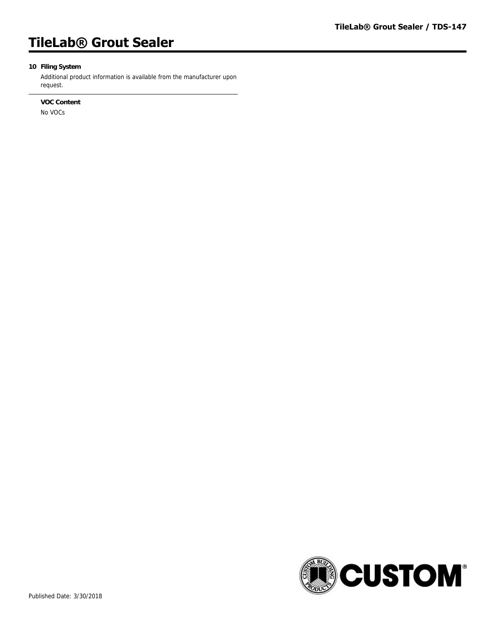# **TileLab® Grout Sealer**

# **10 Filing System**

Additional product information is available from the manufacturer upon request.

## **VOC Content**

No VOCs